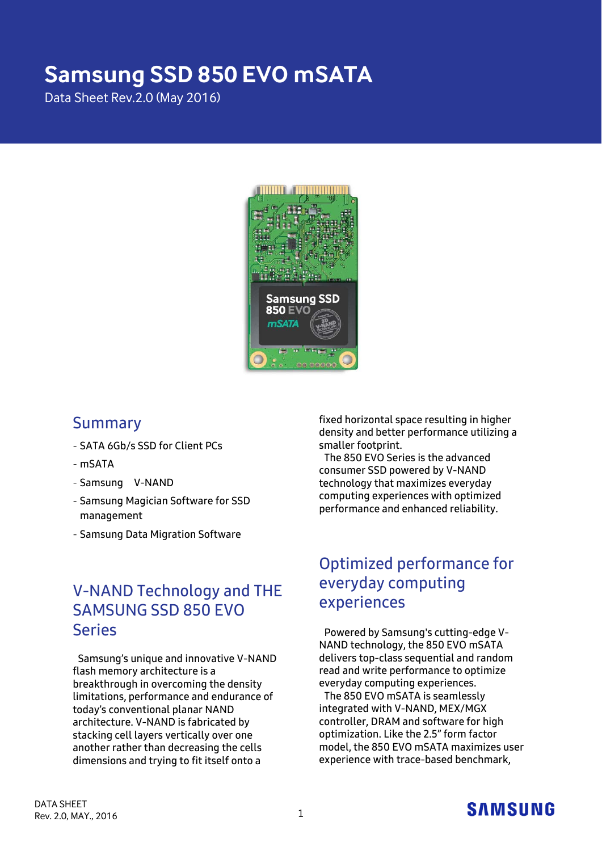# **Samsung SSD 850 EVO mSATA**

Data Sheet Rev.2.0 (May 2016)



### Summary

- SATA 6Gb/s SSD for Client PCs
- mSATA
- Samsung V-NAND
- Samsung Magician Software for SSD management
- Samsung Data Migration Software

# V-NAND Technology and THE SAMSUNG SSD 850 EVO Series

Samsung's unique and innovative V-NAND flash memory architecture is a breakthrough in overcoming the density limitations, performance and endurance of today's conventional planar NAND architecture. V-NAND is fabricated by stacking cell layers vertically over one another rather than decreasing the cells dimensions and trying to fit itself onto a

fixed horizontal space resulting in higher density and better performance utilizing a smaller footprint.

The 850 EVO Series is the advanced consumer SSD powered by V-NAND technology that maximizes everyday computing experiences with optimized performance and enhanced reliability.

# Optimized performance for everyday computing experiences

Powered by Samsung's cutting-edge V-NAND technology, the 850 EVO mSATA delivers top-class sequential and random read and write performance to optimize everyday computing experiences.

The 850 EVO mSATA is seamlessly integrated with V-NAND, MEX/MGX controller, DRAM and software for high optimization. Like the 2.5" form factor model, the 850 EVO mSATA maximizes user experience with trace-based benchmark,

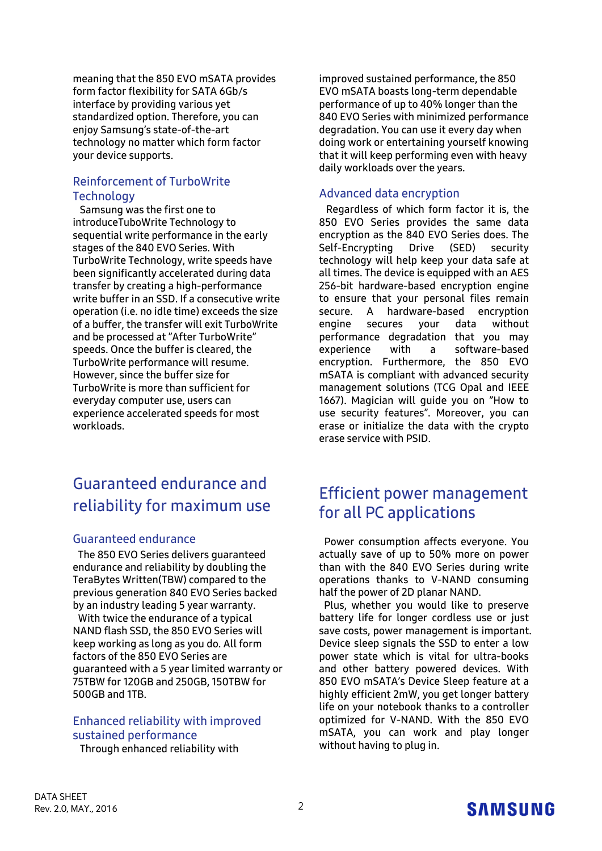meaning that the 850 EVO mSATA provides form factor flexibility for SATA 6Gb/s interface by providing various yet standardized option. Therefore, you can enjoy Samsung's state-of-the-art technology no matter which form factor your device supports.

#### Reinforcement of TurboWrite **Technology**

Samsung was the first one to introduceTuboWrite Technology to sequential write performance in the early stages of the 840 EVO Series. With TurboWrite Technology, write speeds have been significantly accelerated during data transfer by creating a high-performance write buffer in an SSD. If a consecutive write operation (i.e. no idle time) exceeds the size of a buffer, the transfer will exit TurboWrite and be processed at "After TurboWrite" speeds. Once the buffer is cleared, the TurboWrite performance will resume. However, since the buffer size for TurboWrite is more than sufficient for everyday computer use, users can experience accelerated speeds for most workloads.

# Guaranteed endurance and reliability for maximum use

#### Guaranteed endurance

The 850 EVO Series delivers guaranteed endurance and reliability by doubling the TeraBytes Written(TBW) compared to the previous generation 840 EVO Series backed by an industry leading 5 year warranty. With twice the endurance of a typical NAND flash SSD, the 850 EVO Series will keep working as long as you do. All form factors of the 850 EVO Series are guaranteed with a 5 year limited warranty or 75TBW for 120GB and 250GB, 150TBW for 500GB and 1TB.

### Enhanced reliability with improved sustained performance

Through enhanced reliability with

improved sustained performance, the 850 EVO mSATA boasts long-term dependable performance of up to 40% longer than the 840 EVO Series with minimized performance degradation. You can use it every day when doing work or entertaining yourself knowing that it will keep performing even with heavy daily workloads over the years.

#### Advanced data encryption

Regardless of which form factor it is, the 850 EVO Series provides the same data encryption as the 840 EVO Series does. The<br>Self-Encrypting Drive (SED) security Self-Encrypting Drive (SED) technology will help keep your data safe at all times. The device is equipped with an AES 256-bit hardware-based encryption engine to ensure that your personal files remain secure. A hardware-based encryption engine secures your data without performance degradation that you may experience with a software-based encryption. Furthermore, the 850 EVO mSATA is compliant with advanced security management solutions (TCG Opal and IEEE 1667). Magician will guide you on "How to use security features". Moreover, you can erase or initialize the data with the crypto erase service with PSID.

# Efficient power management for all PC applications

Power consumption affects everyone. You actually save of up to 50% more on power than with the 840 EVO Series during write operations thanks to V-NAND consuming half the power of 2D planar NAND.

Plus, whether you would like to preserve battery life for longer cordless use or just save costs, power management is important. Device sleep signals the SSD to enter a low power state which is vital for ultra-books and other battery powered devices. With 850 EVO mSATA's Device Sleep feature at a highly efficient 2mW, you get longer battery life on your notebook thanks to a controller optimized for V-NAND. With the 850 EVO mSATA, you can work and play longer without having to plug in.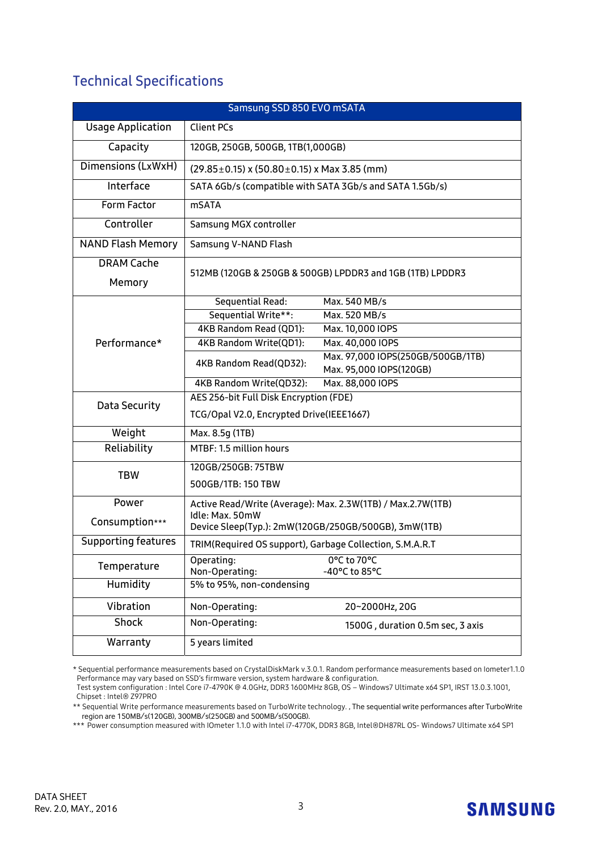## Technical Specifications

| Samsung SSD 850 EVO mSATA   |                                                                                        |  |  |  |
|-----------------------------|----------------------------------------------------------------------------------------|--|--|--|
| <b>Usage Application</b>    | <b>Client PCs</b>                                                                      |  |  |  |
| Capacity                    | 120GB, 250GB, 500GB, 1TB(1,000GB)                                                      |  |  |  |
| Dimensions (LxWxH)          | $(29.85 \pm 0.15)$ x $(50.80 \pm 0.15)$ x Max 3.85 (mm)                                |  |  |  |
| Interface                   | SATA 6Gb/s (compatible with SATA 3Gb/s and SATA 1.5Gb/s)                               |  |  |  |
| Form Factor                 | <b>mSATA</b>                                                                           |  |  |  |
| Controller                  | Samsung MGX controller                                                                 |  |  |  |
| <b>NAND Flash Memory</b>    | Samsung V-NAND Flash                                                                   |  |  |  |
| <b>DRAM Cache</b><br>Memory | 512MB (120GB & 250GB & 500GB) LPDDR3 and 1GB (1TB) LPDDR3                              |  |  |  |
|                             | Sequential Read:<br>Max. 540 MB/s                                                      |  |  |  |
|                             | Sequential Write**:<br>Max. 520 MB/s                                                   |  |  |  |
|                             | 4KB Random Read (QD1):<br>Max. 10,000 IOPS                                             |  |  |  |
| Performance*                | 4KB Random Write(QD1):<br>Max. 40,000 IOPS                                             |  |  |  |
|                             | Max. 97,000 IOPS(250GB/500GB/1TB)<br>4KB Random Read(QD32):<br>Max. 95,000 IOPS(120GB) |  |  |  |
|                             | 4KB Random Write(QD32):<br>Max. 88,000 IOPS                                            |  |  |  |
| Data Security               | AES 256-bit Full Disk Encryption (FDE)                                                 |  |  |  |
|                             | TCG/Opal V2.0, Encrypted Drive(IEEE1667)                                               |  |  |  |
| Weight                      | Max. 8.5g (1TB)                                                                        |  |  |  |
| Reliability                 | MTBF: 1.5 million hours                                                                |  |  |  |
| <b>TBW</b>                  | 120GB/250GB: 75TBW                                                                     |  |  |  |
|                             | 500GB/1TB: 150 TBW                                                                     |  |  |  |
| Power                       | Active Read/Write (Average): Max. 2.3W(1TB) / Max.2.7W(1TB)                            |  |  |  |
| Consumption***              | Idle: Max. 50mW<br>Device Sleep(Typ.): 2mW(120GB/250GB/500GB), 3mW(1TB)                |  |  |  |
| <b>Supporting features</b>  | TRIM(Required OS support), Garbage Collection, S.M.A.R.T                               |  |  |  |
| Temperature                 | 0°C to 70°C<br>Operating:<br>Non-Operating:<br>-40°C to 85°C                           |  |  |  |
| Humidity                    | 5% to 95%, non-condensing                                                              |  |  |  |
| Vibration                   | Non-Operating:<br>20~2000Hz, 20G                                                       |  |  |  |
| <b>Shock</b>                | Non-Operating:<br>1500G, duration 0.5m sec, 3 axis                                     |  |  |  |
| Warranty                    | 5 years limited                                                                        |  |  |  |

\* Sequential performance measurements based on CrystalDiskMark v.3.0.1. Random performance measurements based on Iometer1.1.0 Performance may vary based on SSD's firmware version, system hardware & configuration.

\*\*\* Power consumption measured with IOmeter 1.1.0 with Intel i7-4770K, DDR3 8GB, Intel®DH87RL OS- Windows7 Ultimate x64 SP1

Test system configuration : Intel Core i7-4790K @ 4.0GHz, DDR3 1600MHz 8GB, OS – Windows7 Ultimate x64 SP1, IRST 13.0.3.1001, Chipset : Intel® Z97PRO

<sup>\*\*</sup> Sequential Write performance measurements based on TurboWrite technology. , The sequential write performances after TurboWrite region are 150MB/s(120GB), 300MB/s(250GB) and 500MB/s(500GB).